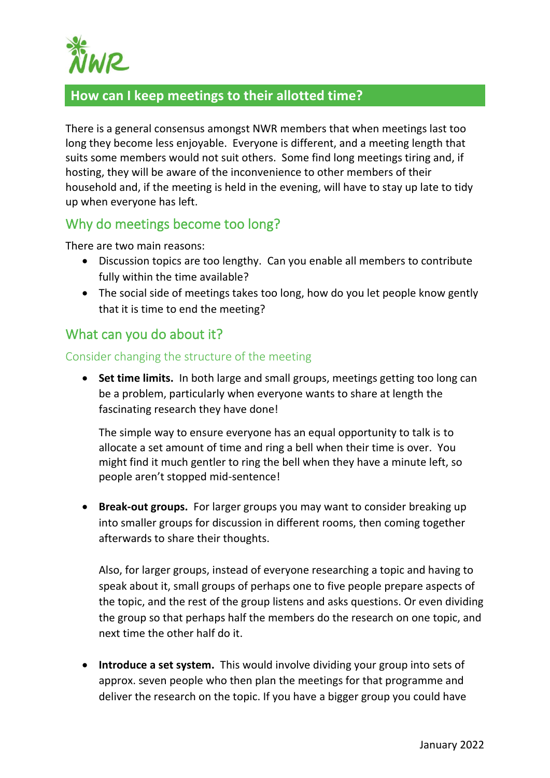

# **How can I keep meetings to their allotted time?**

There is a general consensus amongst NWR members that when meetings last too long they become less enjoyable. Everyone is different, and a meeting length that suits some members would not suit others. Some find long meetings tiring and, if hosting, they will be aware of the inconvenience to other members of their household and, if the meeting is held in the evening, will have to stay up late to tidy up when everyone has left.

# Why do meetings become too long?

There are two main reasons:

- Discussion topics are too lengthy. Can you enable all members to contribute fully within the time available?
- The social side of meetings takes too long, how do you let people know gently that it is time to end the meeting?

# What can you do about it?

#### Consider changing the structure of the meeting

• **Set time limits.** In both large and small groups, meetings getting too long can be a problem, particularly when everyone wants to share at length the fascinating research they have done!

The simple way to ensure everyone has an equal opportunity to talk is to allocate a set amount of time and ring a bell when their time is over. You might find it much gentler to ring the bell when they have a minute left, so people aren't stopped mid-sentence!

• **Break-out groups.** For larger groups you may want to consider breaking up into smaller groups for discussion in different rooms, then coming together afterwards to share their thoughts.

Also, for larger groups, instead of everyone researching a topic and having to speak about it, small groups of perhaps one to five people prepare aspects of the topic, and the rest of the group listens and asks questions. Or even dividing the group so that perhaps half the members do the research on one topic, and next time the other half do it.

• **Introduce a set system.** This would involve dividing your group into sets of approx. seven people who then plan the meetings for that programme and deliver the research on the topic. If you have a bigger group you could have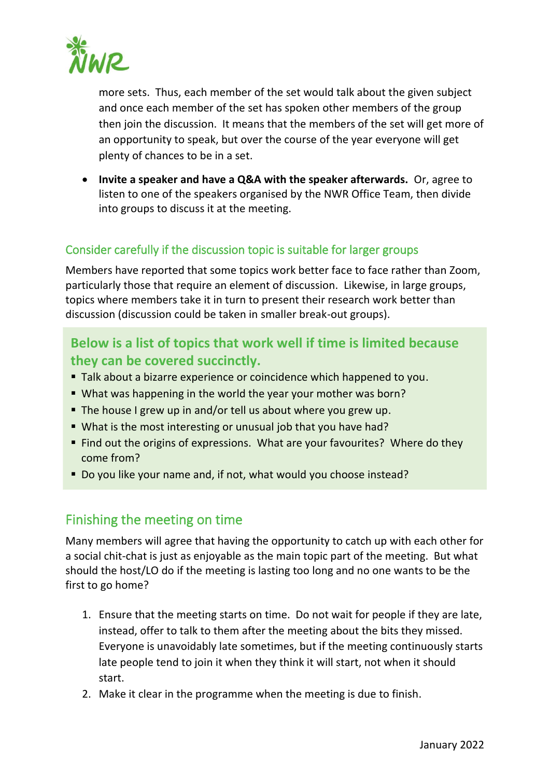

more sets. Thus, each member of the set would talk about the given subject and once each member of the set has spoken other members of the group then join the discussion. It means that the members of the set will get more of an opportunity to speak, but over the course of the year everyone will get plenty of chances to be in a set.

• **Invite a speaker and have a Q&A with the speaker afterwards.** Or, agree to listen to one of the speakers organised by the NWR Office Team, then divide into groups to discuss it at the meeting.

### Consider carefully if the discussion topic is suitable for larger groups

Members have reported that some topics work better face to face rather than Zoom, particularly those that require an element of discussion. Likewise, in large groups, topics where members take it in turn to present their research work better than discussion (discussion could be taken in smaller break-out groups).

# **Below is a list of topics that work well if time is limited because they can be covered succinctly.**

- Talk about a bizarre experience or coincidence which happened to you.
- What was happening in the world the year your mother was born?
- The house I grew up in and/or tell us about where you grew up.
- What is the most interesting or unusual job that you have had?
- Find out the origins of expressions. What are your favourites? Where do they come from?
- Do you like your name and, if not, what would you choose instead?

# Finishing the meeting on time

Many members will agree that having the opportunity to catch up with each other for a social chit-chat is just as enjoyable as the main topic part of the meeting. But what should the host/LO do if the meeting is lasting too long and no one wants to be the first to go home?

- 1. Ensure that the meeting starts on time. Do not wait for people if they are late, instead, offer to talk to them after the meeting about the bits they missed. Everyone is unavoidably late sometimes, but if the meeting continuously starts late people tend to join it when they think it will start, not when it should start.
- 2. Make it clear in the programme when the meeting is due to finish.